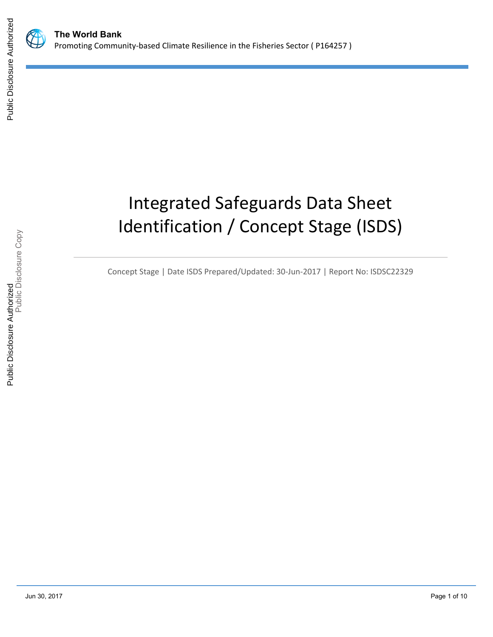



# Integrated Safeguards Data Sheet Identification / Concept Stage (ISDS)

Concept Stage | Date ISDS Prepared/Updated: 30-Jun-2017 | Report No: ISDSC22329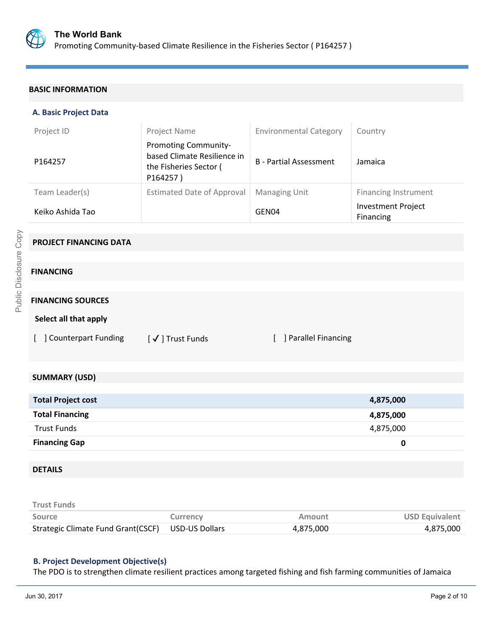

#### **BASIC INFORMATION**

#### **A. Basic Project Data**

| Project ID       | <b>Project Name</b>                                                                              | <b>Environmental Category</b> | Country                                |
|------------------|--------------------------------------------------------------------------------------------------|-------------------------------|----------------------------------------|
| P164257          | <b>Promoting Community-</b><br>based Climate Resilience in<br>the Fisheries Sector (<br>P164257) | <b>B</b> - Partial Assessment | Jamaica                                |
| Team Leader(s)   | <b>Estimated Date of Approval</b>                                                                | <b>Managing Unit</b>          | <b>Financing Instrument</b>            |
| Keiko Ashida Tao |                                                                                                  | GEN04                         | <b>Investment Project</b><br>Financing |

# **PROJECT FINANCING DATA**

# **FINANCING**

#### **FINANCING SOURCES**

#### **Select all that apply**

[ ] Counterpart Funding [ ✔ ] Trust Funds [ ] Parallel Financing

### **SUMMARY (USD)**

| <b>Total Project cost</b> | 4,875,000 |
|---------------------------|-----------|
| <b>Total Financing</b>    | 4,875,000 |
| <b>Trust Funds</b>        | 4,875,000 |
| <b>Financing Gap</b>      | 0         |

### **DETAILS**

| <b>Trust Funds</b>                                |                 |           |                       |
|---------------------------------------------------|-----------------|-----------|-----------------------|
| Source                                            | <b>Currency</b> | Amount    | <b>USD Equivalent</b> |
| Strategic Climate Fund Grant(CSCF) USD-US Dollars |                 | 4.875.000 | 4.875.000             |

#### **B. Project Development Objective(s)**

The PDO is to strengthen climate resilient practices among targeted fishing and fish farming communities of Jamaica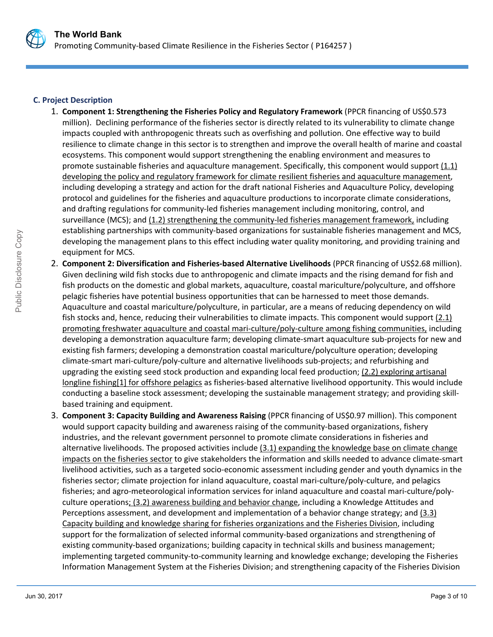

### **C. Project Description**

- 1. **Component 1: Strengthening the Fisheries Policy and Regulatory Framework** (PPCR financing of US\$0.573 million). Declining performance of the fisheries sector is directly related to its vulnerability to climate change impacts coupled with anthropogenic threats such as overfishing and pollution. One effective way to build resilience to climate change in this sector is to strengthen and improve the overall health of marine and coastal ecosystems. This component would support strengthening the enabling environment and measures to promote sustainable fisheries and aquaculture management. Specifically, this component would support (1.1) developing the policy and regulatory framework for climate resilient fisheries and aquaculture management, including developing a strategy and action for the draft national Fisheries and Aquaculture Policy, developing protocol and guidelines for the fisheries and aquaculture productions to incorporate climate considerations, and drafting regulations for community-led fisheries management including monitoring, control, and surveillance (MCS); and (1.2) strengthening the community-led fisheries management framework, including establishing partnerships with community-based organizations for sustainable fisheries management and MCS, developing the management plans to this effect including water quality monitoring, and providing training and equipment for MCS.
- 2. **Component 2: Diversification and Fisheries-based Alternative Livelihoods** (PPCR financing of US\$2.68 million). Given declining wild fish stocks due to anthropogenic and climate impacts and the rising demand for fish and fish products on the domestic and global markets, aquaculture, coastal mariculture/polyculture, and offshore pelagic fisheries have potential business opportunities that can be harnessed to meet those demands. Aquaculture and coastal mariculture/polyculture, in particular, are a means of reducing dependency on wild fish stocks and, hence, reducing their vulnerabilities to climate impacts. This component would support (2.1) promoting freshwater aquaculture and coastal mari-culture/poly-culture among fishing communities, including developing a demonstration aquaculture farm; developing climate-smart aquaculture sub-projects for new and existing fish farmers; developing a demonstration coastal mariculture/polyculture operation; developing climate-smart mari-culture/poly-culture and alternative livelihoods sub-projects; and refurbishing and upgrading the existing seed stock production and expanding local feed production; (2.2) exploring artisanal longline fishing[1] for offshore pelagics as fisheries-based alternative livelihood opportunity. This would include conducting a baseline stock assessment; developing the sustainable management strategy; and providing skillbased training and equipment.
- 3. **Component 3: Capacity Building and Awareness Raising** (PPCR financing of US\$0.97 million). This component would support capacity building and awareness raising of the community-based organizations, fishery industries, and the relevant government personnel to promote climate considerations in fisheries and alternative livelihoods. The proposed activities include (3.1) expanding the knowledge base on climate change impacts on the fisheries sector to give stakeholders the information and skills needed to advance climate-smart livelihood activities, such as a targeted socio-economic assessment including gender and youth dynamics in the fisheries sector; climate projection for inland aquaculture, coastal mari-culture/poly-culture, and pelagics fisheries; and agro-meteorological information services for inland aquaculture and coastal mari-culture/polyculture operations; (3.2) awareness building and behavior change, including a Knowledge Attitudes and Perceptions assessment, and development and implementation of a behavior change strategy; and (3.3) Capacity building and knowledge sharing for fisheries organizations and the Fisheries Division, including support for the formalization of selected informal community-based organizations and strengthening of existing community-based organizations; building capacity in technical skills and business management; implementing targeted community-to-community learning and knowledge exchange; developing the Fisheries Information Management System at the Fisheries Division; and strengthening capacity of the Fisheries Division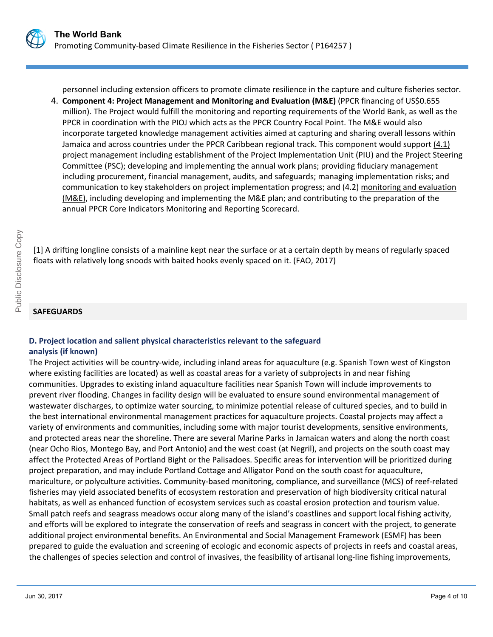

personnel including extension officers to promote climate resilience in the capture and culture fisheries sector.

4. **Component 4: Project Management and Monitoring and Evaluation (M&E)** (PPCR financing of US\$0.655 million). The Project would fulfill the monitoring and reporting requirements of the World Bank, as well as the PPCR in coordination with the PIOJ which acts as the PPCR Country Focal Point. The M&E would also incorporate targeted knowledge management activities aimed at capturing and sharing overall lessons within Jamaica and across countries under the PPCR Caribbean regional track. This component would support (4.1) project management including establishment of the Project Implementation Unit (PIU) and the Project Steering Committee (PSC); developing and implementing the annual work plans; providing fiduciary management including procurement, financial management, audits, and safeguards; managing implementation risks; and communication to key stakeholders on project implementation progress; and (4.2) monitoring and evaluation (M&E), including developing and implementing the M&E plan; and contributing to the preparation of the annual PPCR Core Indicators Monitoring and Reporting Scorecard.

[1] A drifting longline consists of a mainline kept near the surface or at a certain depth by means of regularly spaced floats with relatively long snoods with baited hooks evenly spaced on it. (FAO, 2017)

#### **SAFEGUARDS**

#### **D. Project location and salient physical characteristics relevant to the safeguard analysis (if known)**

The Project activities will be country-wide, including inland areas for aquaculture (e.g. Spanish Town west of Kingston where existing facilities are located) as well as coastal areas for a variety of subprojects in and near fishing communities. Upgrades to existing inland aquaculture facilities near Spanish Town will include improvements to prevent river flooding. Changes in facility design will be evaluated to ensure sound environmental management of wastewater discharges, to optimize water sourcing, to minimize potential release of cultured species, and to build in the best international environmental management practices for aquaculture projects. Coastal projects may affect a variety of environments and communities, including some with major tourist developments, sensitive environments, and protected areas near the shoreline. There are several Marine Parks in Jamaican waters and along the north coast (near Ocho Rios, Montego Bay, and Port Antonio) and the west coast (at Negril), and projects on the south coast may affect the Protected Areas of Portland Bight or the Palisadoes. Specific areas for intervention will be prioritized during project preparation, and may include Portland Cottage and Alligator Pond on the south coast for aquaculture, mariculture, or polyculture activities. Community-based monitoring, compliance, and surveillance (MCS) of reef-related fisheries may yield associated benefits of ecosystem restoration and preservation of high biodiversity critical natural habitats, as well as enhanced function of ecosystem services such as coastal erosion protection and tourism value. Small patch reefs and seagrass meadows occur along many of the island's coastlines and support local fishing activity, and efforts will be explored to integrate the conservation of reefs and seagrass in concert with the project, to generate additional project environmental benefits. An Environmental and Social Management Framework (ESMF) has been prepared to guide the evaluation and screening of ecologic and economic aspects of projects in reefs and coastal areas, the challenges of species selection and control of invasives, the feasibility of artisanal long-line fishing improvements,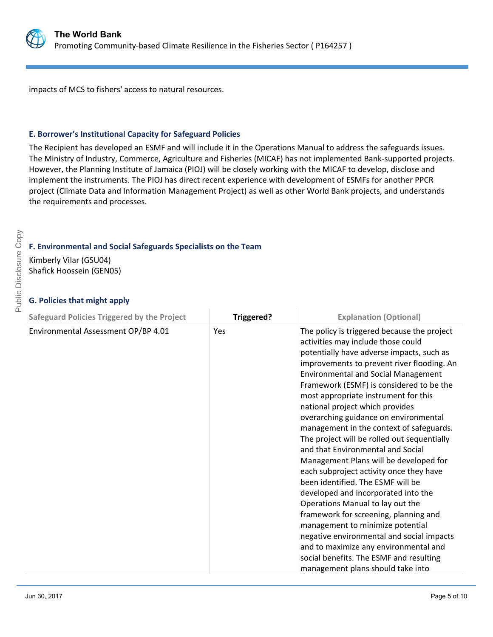

impacts of MCS to fishers' access to natural resources.

#### **E. Borrower's Institutional Capacity for Safeguard Policies**

The Recipient has developed an ESMF and will include it in the Operations Manual to address the safeguards issues. The Ministry of Industry, Commerce, Agriculture and Fisheries (MICAF) has not implemented Bank-supported projects. However, the Planning Institute of Jamaica (PIOJ) will be closely working with the MICAF to develop, disclose and implement the instruments. The PIOJ has direct recent experience with development of ESMFs for another PPCR project (Climate Data and Information Management Project) as well as other World Bank projects, and understands the requirements and processes.

# **F. Environmental and Social Safeguards Specialists on the Team**

Kimberly Vilar (GSU04) Shafick Hoossein (GEN05)

# **G. Policies that might apply**

| <b>Safeguard Policies Triggered by the Project</b> | Triggered? | <b>Explanation (Optional)</b>                                                                                                                                                                                                                                                                                                                                                                                                                                                                                                                                                                                                                                                                                                                                                                                                                                                                                                                                                      |
|----------------------------------------------------|------------|------------------------------------------------------------------------------------------------------------------------------------------------------------------------------------------------------------------------------------------------------------------------------------------------------------------------------------------------------------------------------------------------------------------------------------------------------------------------------------------------------------------------------------------------------------------------------------------------------------------------------------------------------------------------------------------------------------------------------------------------------------------------------------------------------------------------------------------------------------------------------------------------------------------------------------------------------------------------------------|
| Environmental Assessment OP/BP 4.01                | <b>Yes</b> | The policy is triggered because the project<br>activities may include those could<br>potentially have adverse impacts, such as<br>improvements to prevent river flooding. An<br><b>Environmental and Social Management</b><br>Framework (ESMF) is considered to be the<br>most appropriate instrument for this<br>national project which provides<br>overarching guidance on environmental<br>management in the context of safeguards.<br>The project will be rolled out sequentially<br>and that Environmental and Social<br>Management Plans will be developed for<br>each subproject activity once they have<br>been identified. The ESMF will be<br>developed and incorporated into the<br>Operations Manual to lay out the<br>framework for screening, planning and<br>management to minimize potential<br>negative environmental and social impacts<br>and to maximize any environmental and<br>social benefits. The ESMF and resulting<br>management plans should take into |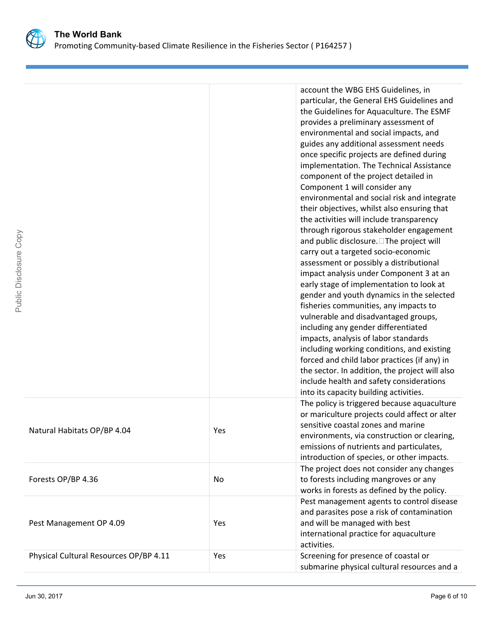

|                                        |     | account the WBG EHS Guidelines, in<br>particular, the General EHS Guidelines and<br>the Guidelines for Aquaculture. The ESMF<br>provides a preliminary assessment of<br>environmental and social impacts, and<br>guides any additional assessment needs<br>once specific projects are defined during<br>implementation. The Technical Assistance<br>component of the project detailed in<br>Component 1 will consider any<br>environmental and social risk and integrate<br>their objectives, whilst also ensuring that<br>the activities will include transparency<br>through rigorous stakeholder engagement<br>and public disclosure. The project will<br>carry out a targeted socio-economic<br>assessment or possibly a distributional<br>impact analysis under Component 3 at an<br>early stage of implementation to look at<br>gender and youth dynamics in the selected<br>fisheries communities, any impacts to<br>vulnerable and disadvantaged groups,<br>including any gender differentiated<br>impacts, analysis of labor standards<br>including working conditions, and existing<br>forced and child labor practices (if any) in<br>the sector. In addition, the project will also<br>include health and safety considerations<br>into its capacity building activities. |
|----------------------------------------|-----|---------------------------------------------------------------------------------------------------------------------------------------------------------------------------------------------------------------------------------------------------------------------------------------------------------------------------------------------------------------------------------------------------------------------------------------------------------------------------------------------------------------------------------------------------------------------------------------------------------------------------------------------------------------------------------------------------------------------------------------------------------------------------------------------------------------------------------------------------------------------------------------------------------------------------------------------------------------------------------------------------------------------------------------------------------------------------------------------------------------------------------------------------------------------------------------------------------------------------------------------------------------------------------------|
| Natural Habitats OP/BP 4.04            | Yes | The policy is triggered because aquaculture<br>or mariculture projects could affect or alter<br>sensitive coastal zones and marine<br>environments, via construction or clearing,<br>emissions of nutrients and particulates,<br>introduction of species, or other impacts.                                                                                                                                                                                                                                                                                                                                                                                                                                                                                                                                                                                                                                                                                                                                                                                                                                                                                                                                                                                                           |
| Forests OP/BP 4.36                     | No  | The project does not consider any changes<br>to forests including mangroves or any<br>works in forests as defined by the policy.                                                                                                                                                                                                                                                                                                                                                                                                                                                                                                                                                                                                                                                                                                                                                                                                                                                                                                                                                                                                                                                                                                                                                      |
| Pest Management OP 4.09                | Yes | Pest management agents to control disease<br>and parasites pose a risk of contamination<br>and will be managed with best<br>international practice for aquaculture<br>activities.                                                                                                                                                                                                                                                                                                                                                                                                                                                                                                                                                                                                                                                                                                                                                                                                                                                                                                                                                                                                                                                                                                     |
| Physical Cultural Resources OP/BP 4.11 | Yes | Screening for presence of coastal or<br>submarine physical cultural resources and a                                                                                                                                                                                                                                                                                                                                                                                                                                                                                                                                                                                                                                                                                                                                                                                                                                                                                                                                                                                                                                                                                                                                                                                                   |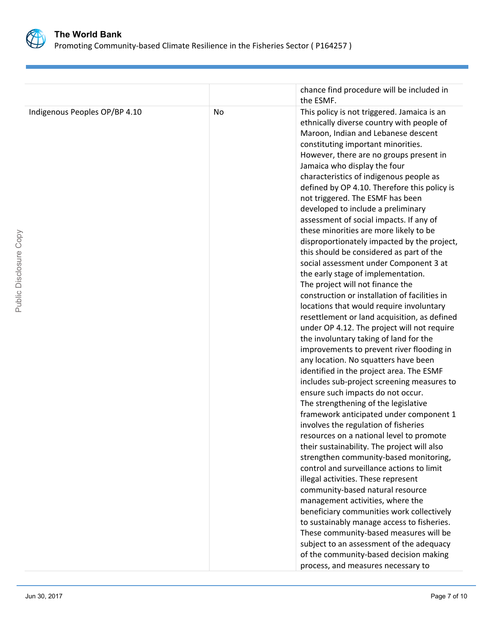

|                               |    | chance find procedure will be included in<br>the ESMF.                                                                                                                                                                                                                                                                                                                                                                                                                                                                                                                                                                                                                                                                                                                                                                                                                                                                                                                                                                                                                                                                                                                                                                                                                                                                                                                                                                                                                                                                                                                                                                                                                                                     |
|-------------------------------|----|------------------------------------------------------------------------------------------------------------------------------------------------------------------------------------------------------------------------------------------------------------------------------------------------------------------------------------------------------------------------------------------------------------------------------------------------------------------------------------------------------------------------------------------------------------------------------------------------------------------------------------------------------------------------------------------------------------------------------------------------------------------------------------------------------------------------------------------------------------------------------------------------------------------------------------------------------------------------------------------------------------------------------------------------------------------------------------------------------------------------------------------------------------------------------------------------------------------------------------------------------------------------------------------------------------------------------------------------------------------------------------------------------------------------------------------------------------------------------------------------------------------------------------------------------------------------------------------------------------------------------------------------------------------------------------------------------------|
| Indigenous Peoples OP/BP 4.10 | No | This policy is not triggered. Jamaica is an<br>ethnically diverse country with people of<br>Maroon, Indian and Lebanese descent<br>constituting important minorities.<br>However, there are no groups present in<br>Jamaica who display the four<br>characteristics of indigenous people as<br>defined by OP 4.10. Therefore this policy is<br>not triggered. The ESMF has been<br>developed to include a preliminary<br>assessment of social impacts. If any of<br>these minorities are more likely to be<br>disproportionately impacted by the project,<br>this should be considered as part of the<br>social assessment under Component 3 at<br>the early stage of implementation.<br>The project will not finance the<br>construction or installation of facilities in<br>locations that would require involuntary<br>resettlement or land acquisition, as defined<br>under OP 4.12. The project will not require<br>the involuntary taking of land for the<br>improvements to prevent river flooding in<br>any location. No squatters have been<br>identified in the project area. The ESMF<br>includes sub-project screening measures to<br>ensure such impacts do not occur.<br>The strengthening of the legislative<br>framework anticipated under component 1<br>involves the regulation of fisheries<br>resources on a national level to promote<br>their sustainability. The project will also<br>strengthen community-based monitoring,<br>control and surveillance actions to limit<br>illegal activities. These represent<br>community-based natural resource<br>management activities, where the<br>beneficiary communities work collectively<br>to sustainably manage access to fisheries. |
|                               |    | These community-based measures will be<br>subject to an assessment of the adequacy<br>of the community-based decision making<br>process, and measures necessary to                                                                                                                                                                                                                                                                                                                                                                                                                                                                                                                                                                                                                                                                                                                                                                                                                                                                                                                                                                                                                                                                                                                                                                                                                                                                                                                                                                                                                                                                                                                                         |
|                               |    |                                                                                                                                                                                                                                                                                                                                                                                                                                                                                                                                                                                                                                                                                                                                                                                                                                                                                                                                                                                                                                                                                                                                                                                                                                                                                                                                                                                                                                                                                                                                                                                                                                                                                                            |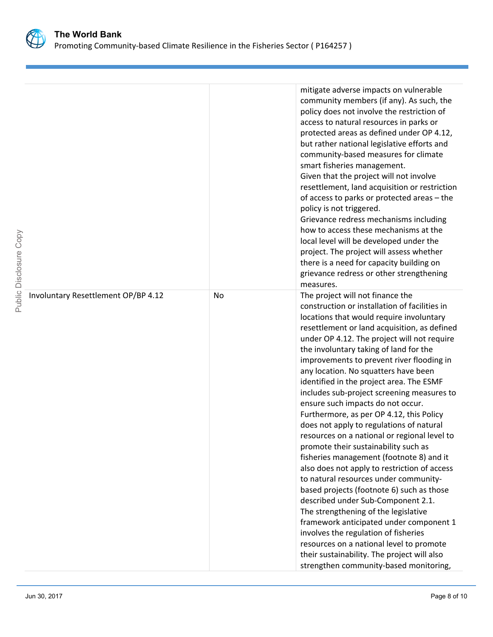

| Musuusuusuu                         |    | mitigate adverse impacts on vulnerable<br>community members (if any). As such, the<br>policy does not involve the restriction of<br>access to natural resources in parks or<br>protected areas as defined under OP 4.12,<br>but rather national legislative efforts and<br>community-based measures for climate<br>smart fisheries management.<br>Given that the project will not involve<br>resettlement, land acquisition or restriction<br>of access to parks or protected areas - the<br>policy is not triggered.<br>Grievance redress mechanisms including<br>how to access these mechanisms at the<br>local level will be developed under the<br>project. The project will assess whether<br>there is a need for capacity building on<br>grievance redress or other strengthening<br>measures.                                                                                                                                                                                                                                                                                                                                                               |
|-------------------------------------|----|--------------------------------------------------------------------------------------------------------------------------------------------------------------------------------------------------------------------------------------------------------------------------------------------------------------------------------------------------------------------------------------------------------------------------------------------------------------------------------------------------------------------------------------------------------------------------------------------------------------------------------------------------------------------------------------------------------------------------------------------------------------------------------------------------------------------------------------------------------------------------------------------------------------------------------------------------------------------------------------------------------------------------------------------------------------------------------------------------------------------------------------------------------------------|
| Involuntary Resettlement OP/BP 4.12 | No | The project will not finance the<br>construction or installation of facilities in<br>locations that would require involuntary<br>resettlement or land acquisition, as defined<br>under OP 4.12. The project will not require<br>the involuntary taking of land for the<br>improvements to prevent river flooding in<br>any location. No squatters have been<br>identified in the project area. The ESMF<br>includes sub-project screening measures to<br>ensure such impacts do not occur.<br>Furthermore, as per OP 4.12, this Policy<br>does not apply to regulations of natural<br>resources on a national or regional level to<br>promote their sustainability such as<br>fisheries management (footnote 8) and it<br>also does not apply to restriction of access<br>to natural resources under community-<br>based projects (footnote 6) such as those<br>described under Sub-Component 2.1.<br>The strengthening of the legislative<br>framework anticipated under component 1<br>involves the regulation of fisheries<br>resources on a national level to promote<br>their sustainability. The project will also<br>strengthen community-based monitoring, |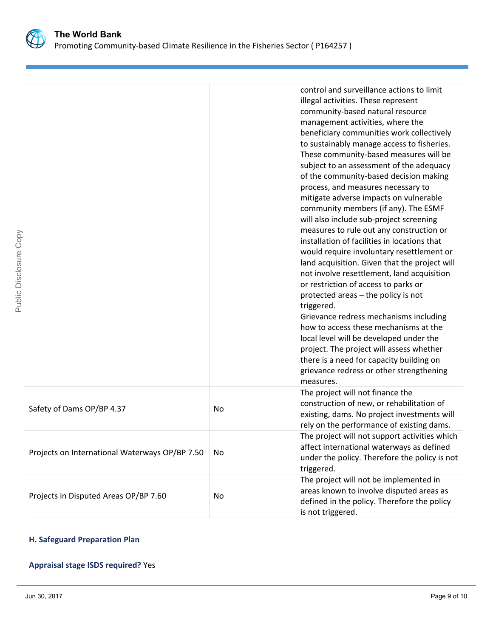

|                                                |    | control and surveillance actions to limit<br>illegal activities. These represent<br>community-based natural resource<br>management activities, where the<br>beneficiary communities work collectively<br>to sustainably manage access to fisheries.<br>These community-based measures will be<br>subject to an assessment of the adequacy<br>of the community-based decision making<br>process, and measures necessary to<br>mitigate adverse impacts on vulnerable<br>community members (if any). The ESMF<br>will also include sub-project screening<br>measures to rule out any construction or<br>installation of facilities in locations that<br>would require involuntary resettlement or<br>land acquisition. Given that the project will<br>not involve resettlement, land acquisition<br>or restriction of access to parks or<br>protected areas - the policy is not<br>triggered.<br>Grievance redress mechanisms including<br>how to access these mechanisms at the<br>local level will be developed under the<br>project. The project will assess whether<br>there is a need for capacity building on<br>grievance redress or other strengthening<br>measures. |
|------------------------------------------------|----|----------------------------------------------------------------------------------------------------------------------------------------------------------------------------------------------------------------------------------------------------------------------------------------------------------------------------------------------------------------------------------------------------------------------------------------------------------------------------------------------------------------------------------------------------------------------------------------------------------------------------------------------------------------------------------------------------------------------------------------------------------------------------------------------------------------------------------------------------------------------------------------------------------------------------------------------------------------------------------------------------------------------------------------------------------------------------------------------------------------------------------------------------------------------------|
| Safety of Dams OP/BP 4.37                      | No | The project will not finance the<br>construction of new, or rehabilitation of<br>existing, dams. No project investments will<br>rely on the performance of existing dams.                                                                                                                                                                                                                                                                                                                                                                                                                                                                                                                                                                                                                                                                                                                                                                                                                                                                                                                                                                                                  |
| Projects on International Waterways OP/BP 7.50 | No | The project will not support activities which<br>affect international waterways as defined<br>under the policy. Therefore the policy is not<br>triggered.                                                                                                                                                                                                                                                                                                                                                                                                                                                                                                                                                                                                                                                                                                                                                                                                                                                                                                                                                                                                                  |
| Projects in Disputed Areas OP/BP 7.60          | No | The project will not be implemented in<br>areas known to involve disputed areas as<br>defined in the policy. Therefore the policy<br>is not triggered.                                                                                                                                                                                                                                                                                                                                                                                                                                                                                                                                                                                                                                                                                                                                                                                                                                                                                                                                                                                                                     |

# **H. Safeguard Preparation Plan**

# **Appraisal stage ISDS required?** Yes